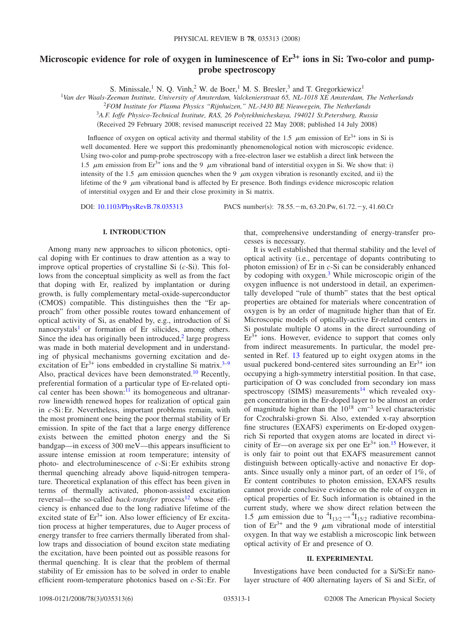# Microscopic evidence for role of oxygen in luminescence of  $Er^{3+}$  ions in Si: Two-color and pump**probe spectroscopy**

S. Minissale,<sup>1</sup> N. O. Vinh,<sup>2</sup> W. de Boer,<sup>1</sup> M. S. Bresler,<sup>3</sup> and T. Gregorkiewicz<sup>1</sup>

<sup>1</sup>*Van der Waals-Zeeman Institute, University of Amsterdam, Valckenierstraat 65, NL-1018 XE Amsterdam, The Netherlands*

2 *FOM Institute for Plasma Physics "Rijnhuizen," NL-3430 BE Nieuwegein, The Netherlands*

<sup>3</sup>*A.F. Ioffe Physico-Technical Institute, RAS, 26 Polytekhnicheskaya, 194021 St.Petersburg, Russia*

(Received 29 February 2008; revised manuscript received 22 May 2008; published 14 July 2008)

Influence of oxygen on optical activity and thermal stability of the 1.5  $\mu$ m emission of Er<sup>3+</sup> ions in Si is well documented. Here we support this predominantly phenomenological notion with microscopic evidence. Using two-color and pump-probe spectroscopy with a free-electron laser we establish a direct link between the 1.5  $\mu$ m emission from Er<sup>3+</sup> ions and the 9  $\mu$ m vibrational band of interstitial oxygen in Si. We show that: i) intensity of the 1.5  $\mu$ m emission quenches when the 9  $\mu$ m oxygen vibration is resonantly excited, and ii) the lifetime of the 9  $\mu$ m vibrational band is affected by Er presence. Both findings evidence microscopic relation of interstitial oxygen and Er and their close proximity in Si matrix.

DOI: [10.1103/PhysRevB.78.035313](http://dx.doi.org/10.1103/PhysRevB.78.035313)

: 78.55.-m, 63.20.Pw, 61.72.-y, 41.60.Cr

## **I. INTRODUCTION**

Among many new approaches to silicon photonics, optical doping with Er continues to draw attention as a way to improve optical properties of crystalline Si  $(c-Si)$ . This follows from the conceptual simplicity as well as from the fact that doping with Er, realized by implantation or during growth, is fully complementary metal-oxide-superconductor (CMOS) compatible. This distinguishes then the "Er approach" from other possible routes toward enhancement of optical activity of Si, as enabled by, e.g., introduction of Si nanocrystals<sup>1</sup> or formation of Er silicides, among others. Since the idea has originally been introduced, $<sup>2</sup>$  large progress</sup> was made in both material development and in understanding of physical mechanisms governing excitation and deexcitation of  $Er^{3+}$  ions embedded in crystalline Si matrix.<sup>3[–9](#page-5-3)</sup> Also, practical devices have been demonstrated[.10](#page-5-4) Recently, preferential formation of a particular type of Er-related optical center has been shown: $\overline{11}$  its homogeneous and ultranarrow linewidth renewed hopes for realization of optical gain in *c*-Si:Er. Nevertheless, important problems remain, with the most prominent one being the poor thermal stability of Er emission. In spite of the fact that a large energy difference exists between the emitted photon energy and the Si bandgap—in excess of 300 meV—this appears insufficient to assure intense emission at room temperature; intensity of photo- and electroluminescence of *c*-Si:Er exhibits strong thermal quenching already above liquid-nitrogen temperature. Theoretical explanation of this effect has been given in terms of thermally activated, phonon-assisted excitation reversal—the so-called *back-transfer* process<sup>12</sup> whose efficiency is enhanced due to the long radiative lifetime of the excited state of  $Er<sup>3+</sup>$  ion. Also lower efficiency of Er excitation process at higher temperatures, due to Auger process of energy transfer to free carriers thermally liberated from shallow traps and dissociation of bound exciton state mediating the excitation, have been pointed out as possible reasons for thermal quenching. It is clear that the problem of thermal stability of Er emission has to be solved in order to enable efficient room-temperature photonics based on *c*-Si:Er. For

that, comprehensive understanding of energy-transfer processes is necessary.

It is well established that thermal stability and the level of optical activity i.e., percentage of dopants contributing to photon emission) of Er in  $c$ -Si can be considerably enhanced by codoping with oxygen[.3](#page-5-2) While microscopic origin of the oxygen influence is not understood in detail, an experimentally developed "rule of thumb" states that the best optical properties are obtained for materials where concentration of oxygen is by an order of magnitude higher than that of Er. Microscopic models of optically-active Er-related centers in Si postulate multiple O atoms in the direct surrounding of  $Er<sup>3+</sup>$  ions. However, evidence to support that comes only from indirect measurements. In particular, the model presented in Ref. [13](#page-5-7) featured up to eight oxygen atoms in the usual puckered bond-centered sites surrounding an  $Er^{3+}$  ion occupying a high-symmetry interstitial position. In that case, participation of O was concluded from secondary ion mass spectroscopy (SIMS) measurements<sup>14</sup> which revealed oxygen concentration in the Er-doped layer to be almost an order of magnitude higher than the  $10^{18}$  cm<sup>-3</sup> level characteristic for Czochralski-grown Si. Also, extended x-ray absorption fine structures (EXAFS) experiments on Er-doped oxygenrich Si reported that oxygen atoms are located in direct vicinity of Er—on average six per one  $Er^{3+}$  ion.<sup>15</sup> However, it is only fair to point out that EXAFS measurement cannot distinguish between optically-active and nonactive Er dopants. Since usually only a minor part, of an order of 1%, of Er content contributes to photon emission, EXAFS results cannot provide conclusive evidence on the role of oxygen in optical properties of Er. Such information is obtained in the current study, where we show direct relation between the 1.5  $\mu$ m emission due to  ${}^{4}I_{13/2} \rightarrow {}^{4}I_{15/2}$  radiative recombination of  $Er^{3+}$  and the 9  $\mu$ m vibrational mode of interstitial oxygen. In that way we establish a microscopic link between optical activity of Er and presence of O.

#### **II. EXPERIMENTAL**

Investigations have been conducted for a Si/Si:Er nanolayer structure of 400 alternating layers of Si and Si:Er, of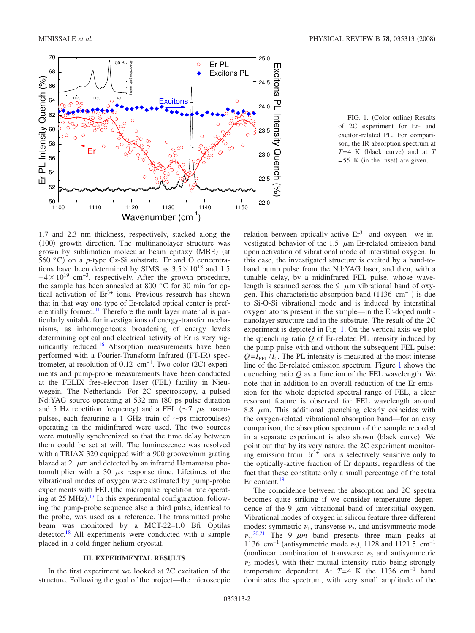<span id="page-1-0"></span>

FIG. 1. (Color online) Results of 2C experiment for Er- and exciton-related PL. For comparison, the IR absorption spectrum at *T*=4 K (black curve) and at *T*  $= 55$  K (in the inset) are given.

1.7 and 2.3 nm thickness, respectively, stacked along the  $(100)$  growth direction. The multinanolayer structure was grown by sublimation molecular beam epitaxy (MBE) (at 560 °C) on a  $p$ -type Cz-Si substrate. Er and O concentrations have been determined by SIMS as  $3.5 \times 10^{18}$  and 1.5  $-4 \times 10^{19}$  cm<sup>-3</sup>, respectively. After the growth procedure, the sample has been annealed at 800 °C for 30 min for optical activation of  $Er^{3+}$  ions. Previous research has shown that in that way one type of Er-related optical center is preferentially formed.<sup>11</sup> Therefore the multilayer material is particularly suitable for investigations of energy-transfer mechanisms, as inhomogeneous broadening of energy levels determining optical and electrical activity of Er is very significantly reduced.<sup>16</sup> Absorption measurements have been performed with a Fourier-Transform Infrared (FT-IR) spectrometer, at resolution of  $0.12 \text{ cm}^{-1}$ . Two-color (2C) experiments and pump-probe measurements have been conducted at the FELIX free-electron laser (FEL) facility in Nieuwegein, The Netherlands. For 2C spectroscopy, a pulsed Nd:YAG source operating at 532 nm (80 ps pulse duration and 5 Hz repetition frequency) and a FEL ( $\sim$ 7  $\mu$ s macropulses, each featuring a 1 GHz train of  $\sim$ ps micropulses) operating in the midinfrared were used. The two sources were mutually synchronized so that the time delay between them could be set at will. The luminescence was resolved with a TRIAX 320 equipped with a 900 grooves/mm grating blazed at 2  $\mu$ m and detected by an infrared Hamamatsu photomultiplier with a 30  $\mu$ s response time. Lifetimes of the vibrational modes of oxygen were estimated by pump-probe experiments with FEL (the micropulse repetition rate operat-ing at 25 MHz).<sup>[17](#page-5-11)</sup> In this experimental configuration, following the pump-probe sequence also a third pulse, identical to the probe, was used as a reference. The transmitted probe beam was monitored by a MCT-22–1.0 Bfi Optilas detector[.18](#page-5-12) All experiments were conducted with a sample placed in a cold finger helium cryostat.

## **III. EXPERIMENTAL RESULTS**

In the first experiment we looked at 2C excitation of the structure. Following the goal of the project—the microscopic relation between optically-active  $Er^{3+}$  and oxygen—we investigated behavior of the 1.5  $\mu$ m Er-related emission band upon activation of vibrational mode of interstitial oxygen. In this case, the investigated structure is excited by a band-toband pump pulse from the Nd:YAG laser, and then, with a tunable delay, by a midinfrared FEL pulse, whose wavelength is scanned across the 9  $\mu$ m vibrational band of oxygen. This characteristic absorption band  $(1136 \text{ cm}^{-1})$  is due to Si-O-Si vibrational mode and is induced by interstitial oxygen atoms present in the sample—in the Er-doped multinanolayer structure and in the substrate. The result of the 2C experiment is depicted in Fig. [1.](#page-1-0) On the vertical axis we plot the quenching ratio *Q* of Er-related PL intensity induced by the pump pulse with and without the subsequent FEL pulse:  $Q = I_{\text{FEL}}/I_0$ . The PL intensity is measured at the most intense line of the Er-related emission spectrum. Figure [1](#page-1-0) shows the quenching ratio *Q* as a function of the FEL wavelength. We note that in addition to an overall reduction of the Er emission for the whole depicted spectral range of FEL, a clear resonant feature is observed for FEL wavelength around 8.8  $\mu$ m. This additional quenching clearly coincides with the oxygen-related vibrational absorption band—for an easy comparison, the absorption spectrum of the sample recorded in a separate experiment is also shown (black curve). We point out that by its very nature, the 2C experiment monitoring emission from  $Er^{3+}$  ions is selectively sensitive only to the optically-active fraction of Er dopants, regardless of the fact that these constitute only a small percentage of the total Er content.<sup>19</sup>

The coincidence between the absorption and 2C spectra becomes quite striking if we consider temperature dependence of the 9  $\mu$ m vibrational band of interstitial oxygen. Vibrational modes of oxygen in silicon feature three different modes: symmetric  $\nu_1$ , transverse  $\nu_2$ , and antisymmetric mode  $v_3$ <sup>[20](#page-5-14)[,21](#page-5-15)</sup> The 9  $\mu$ m band presents three main peaks at 1136 cm<sup>-1</sup> (antisymmetric mode  $\nu_3$ ), 1128 and 1121.5 cm<sup>-1</sup> (nonlinear combination of transverse  $\nu_2$  and antisymmetric  $\nu_3$  modes), with their mutual intensity ratio being strongly temperature dependent. At  $T=4$  K the 1136 cm<sup>-1</sup> band dominates the spectrum, with very small amplitude of the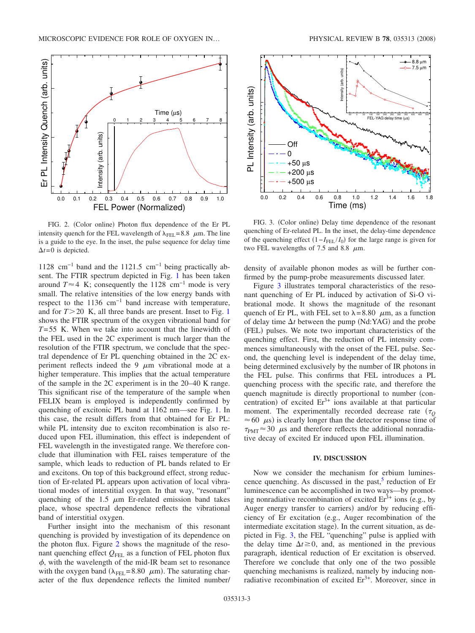<span id="page-2-0"></span>

FIG. 2. (Color online) Photon flux dependence of the Er PL intensity quench for the FEL wavelength of  $\lambda_{\text{FE}}= 8.8 \mu \text{m}$ . The line is a guide to the eye. In the inset, the pulse sequence for delay time  $\Delta t = 0$  is depicted.

1128 cm−1 band and the 1121.5 cm−1 being practically absent. The FTIR spectrum depicted in Fig. [1](#page-1-0) has been taken around  $T \approx 4$  K; consequently the 1128 cm<sup>-1</sup> mode is very small. The relative intensities of the low energy bands with respect to the 1136 cm−1 band increase with temperature, and for  $T > 20$  K, all three bands are present. Inset to Fig. [1](#page-1-0) shows the FTIR spectrum of the oxygen vibrational band for *T*= 55 K. When we take into account that the linewidth of the FEL used in the 2C experiment is much larger than the resolution of the FTIR spectrum, we conclude that the spectral dependence of Er PL quenching obtained in the 2C experiment reflects indeed the 9  $\mu$ m vibrational mode at a higher temperature. This implies that the actual temperature of the sample in the 2C experiment is in the 20–40 K range. This significant rise of the temperature of the sample when FELIX beam is employed is independently confirmed by quenching of excitonic PL band at 1162 nm—see Fig. [1.](#page-1-0) In this case, the result differs from that obtained for Er PL: while PL intensity due to exciton recombination is also reduced upon FEL illumination, this effect is independent of FEL wavelength in the investigated range. We therefore conclude that illumination with FEL raises temperature of the sample, which leads to reduction of PL bands related to Er and excitons. On top of this background effect, strong reduction of Er-related PL appears upon activation of local vibrational modes of interstitial oxygen. In that way, "resonant" quenching of the 1.5  $\mu$ m Er-related emission band takes place, whose spectral dependence reflects the vibrational band of interstitial oxygen.

Further insight into the mechanism of this resonant quenching is provided by investigation of its dependence on the photon flux. Figure [2](#page-2-0) shows the magnitude of the resonant quenching effect  $Q_{FEL}$  as a function of FEL photon flux  $\phi$ , with the wavelength of the mid-IR beam set to resonance with the oxygen band ( $\lambda_{\text{FEL}}$ =8.80  $\mu$ m). The saturating character of the flux dependence reflects the limited number/

<span id="page-2-1"></span>

FIG. 3. (Color online) Delay time dependence of the resonant quenching of Er-related PL. In the inset, the delay-time dependence of the quenching effect  $(1 - I_{FEL}/I_0)$  for the large range is given for two FEL wavelengths of 7.5 and 8.8  $\mu$ m.

density of available phonon modes as will be further confirmed by the pump-probe measurements discussed later.

Figure [3](#page-2-1) illustrates temporal characteristics of the resonant quenching of Er PL induced by activation of Si-O vibrational mode. It shows the magnitude of the resonant quench of Er PL, with FEL set to  $\lambda = 8.80$   $\mu$ m, as a function of delay time  $\Delta t$  between the pump (Nd:YAG) and the probe (FEL) pulses. We note two important characteristics of the quenching effect. First, the reduction of PL intensity commences simultaneously with the onset of the FEL pulse. Second, the quenching level is independent of the delay time, being determined exclusively by the number of IR photons in the FEL pulse. This confirms that FEL introduces a PL quenching process with the specific rate, and therefore the quench magnitude is directly proportional to number (concentration) of excited  $Er^{3+}$  ions available at that particular moment. The experimentally recorded decrease rate  $(\tau_0)$  $\approx$  60  $\mu$ s) is clearly longer than the detector response time of  $\tau_{\text{PMT}} \approx 30$   $\mu$ s and therefore reflects the additional nonradiative decay of excited Er induced upon FEL illumination.

### **IV. DISCUSSION**

Now we consider the mechanism for erbium luminescence quenching. As discussed in the past, $5$  reduction of Er luminescence can be accomplished in two ways—by promoting nonradiative recombination of excited  $Er<sup>3+</sup>$  ions (e.g., by Auger energy transfer to carriers) and/or by reducing efficiency of Er excitation (e.g., Auger recombination of the intermediate excitation stage). In the current situation, as depicted in Fig. [3,](#page-2-1) the FEL "quenching" pulse is applied with the delay time  $\Delta t \geq 0$ , and, as mentioned in the previous paragraph, identical reduction of Er excitation is observed. Therefore we conclude that only one of the two possible quenching mechanisms is realized, namely by inducing nonradiative recombination of excited  $Er<sup>3+</sup>$ . Moreover, since in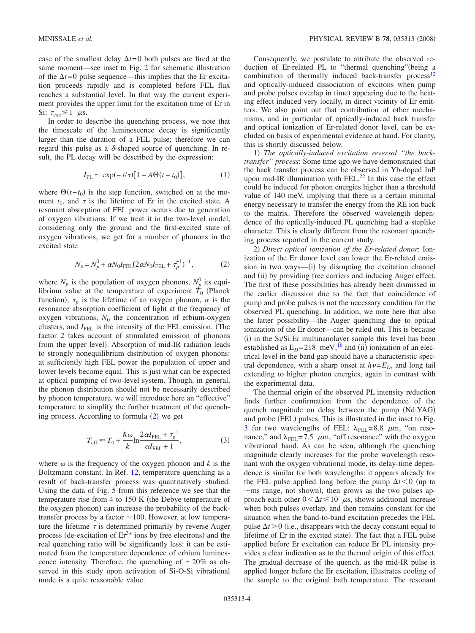case of the smallest delay  $\Delta t = 0$  both pulses are fired at the same moment—see inset to Fig. [2](#page-2-0) for schematic illustration of the  $\Delta t = 0$  pulse sequence—this implies that the Er excitation proceeds rapidly and is completed before FEL flux reaches a substantial level. In that way the current experiment provides the upper limit for the excitation time of Er in Si:  $\tau_{\rm exc} \lesssim 1$   $\mu$ s.

In order to describe the quenching process, we note that the timescale of the luminescence decay is significantly larger than the duration of a FEL pulse; therefore we can regard this pulse as a  $\delta$ -shaped source of quenching. In result, the PL decay will be described by the expression:

$$
I_{\rm PL} \sim \exp(-t/\tau)[1 - A\Theta(t - t_0)],\tag{1}
$$

<span id="page-3-0"></span>where  $\Theta(t-t_0)$  is the step function, switched on at the moment  $t_0$ , and  $\tau$  is the lifetime of Er in the excited state. A resonant absorption of FEL power occurs due to generation of oxygen vibrations. If we treat it in the two-level model, considering only the ground and the first-excited state of oxygen vibrations, we get for a number of phonons in the excited state

$$
N_p = N_p^0 + \alpha N_0 I_{\text{FEL}} (2\alpha N_0 I_{\text{FEL}} + \tau_p^{-1})^{-1},\tag{2}
$$

where  $N_p$  is the population of oxygen phonons,  $N_p^0$  its equilibrium value at the temperature of experiment  $\tilde{T}_0$  (Planck function),  $\tau_p$  is the lifetime of an oxygen phonon,  $\alpha$  is the resonance absorption coefficient of light at the frequency of oxygen vibrations,  $N_0$  the concentration of erbium-oxygen clusters, and *I*<sub>FEL</sub> is the intensity of the FEL emission. (The factor 2 takes account of stimulated emission of phonons from the upper level). Absorption of mid-IR radiation leads to strongly nonequilibrium distribution of oxygen phonons: at sufficiently high FEL power the population of upper and lower levels become equal. This is just what can be expected at optical pumping of two-level system. Though, in general, the phonon distribution should not be necessarily described by phonon temperature, we will introduce here an "effective" temperature to simplify the further treatment of the quench-ing process. According to formula ([2](#page-3-0)) we get

$$
T_{\rm eff} \approx T_0 + \frac{\hbar \omega}{k} \ln \frac{2\alpha I_{\rm FEL} + \tau_p^{-1}}{\alpha I_{\rm FEL} + 1},\tag{3}
$$

where  $\omega$  is the frequency of the oxygen phonon and *k* is the Boltzmann constant. In Ref. [12,](#page-5-6) temperature quenching as a result of back-transfer process was quantitatively studied. Using the data of Fig. 5 from this reference we see that the temperature rise from 4 to  $150$  K (the Debye temperature of the oxygen phonon) can increase the probability of the backtransfer process by a factor  $\sim$  100. However, at low temperature the lifetime  $\tau$  is determined primarily by reverse Auger process (de-excitation of  $Er<sup>3+</sup>$  ions by free electrons) and the real quenching ratio will be significantly less: it can be estimated from the temperature dependence of erbium luminescence intensity. Therefore, the quenching of  $\sim 20\%$  as observed in this study upon activation of Si-O-Si vibrational mode is a quite reasonable value.

Consequently, we postulate to attribute the observed reduction of Er-related PL to "thermal quenching"(being a combination of thermally induced back-transfer process<sup>12</sup> and optically-induced dissociation of excitons when pump and probe pulses overlap in time) appearing due to the heating effect induced very locally, in direct vicinity of Er emitters. We also point out that contribution of other mechanisms, and in particular of optically-induced back transfer and optical ionization of Er-related donor level, can be excluded on basis of experimental evidence at hand. For clarity, this is shortly discussed below.

1) The optically-induced excitation reversal "the back*transfer" process*: Some time ago we have demonstrated that the back transfer process can be observed in Yb-doped InP upon mid-IR illumination with FEL.<sup>22</sup> In this case the effect could be induced for photon energies higher than a threshold value of 140 meV, implying that there is a certain minimal energy necessary to transfer the energy from the RE ion back to the matrix. Therefore the observed wavelength dependence of the optically-induced PL quenching had a steplike character. This is clearly different from the resonant quenching process reported in the current study.

2) Direct optical ionization of the Er-related donor: Ionization of the Er donor level can lower the Er-related emission in two ways—(i) by disrupting the excitation channel and (ii) by providing free carriers and inducing Auger effect. The first of these possibilities has already been dismissed in the earlier discussion due to the fact that coincidence of pump and probe pulses is not the necessary condition for the observed PL quenching. In addition, we note here that also the latter possibility—the Auger quenching due to optical ionization of the Er donor—can be ruled out. This is because (i) in the Si/Si:Er multinanolayer sample this level has been established as  $E_D = 218$  meV, <sup>16</sup> and (ii) ionization of an electrical level in the band gap should have a characteristic spectral dependence, with a sharp onset at  $h\nu=E_D$ , and long tail extending to higher photon energies, again in contrast with the experimental data.

The thermal origin of the observed PL intensity reduction finds further confirmation from the dependence of the quench magnitude on delay between the pump (Nd:YAG) and probe (FEL) pulses. This is illustrated in the inset to Fig. [3](#page-2-1) for two wavelengths of FEL:  $\lambda_{\text{FFL}} = 8.8 \mu \text{m}$ , "on resonance," and  $\lambda_{\text{FEL}} = 7.5 \mu m$ , "off resonance" with the oxygen vibrational band. As can be seen, although the quenching magnitude clearly increases for the probe wavelength resonant with the oxygen vibrational mode, its delay-time dependence is similar for both wavelengths: it appears already for the FEL pulse applied long before the pump  $\Delta t < 0$  (up to  $\sim$ ms range, not shown), then grows as the two pulses approach each other  $0 < \Delta t \le 10$   $\mu$ s, shows additional increase when both pulses overlap, and then remains constant for the situation when the band-to-band excitation precedes the FEL pulse  $\Delta t > 0$  (i.e., disappears with the decay constant equal to lifetime of Er in the excited state). The fact that a FEL pulse applied before Er excitation can reduce Er PL intensity provides a clear indication as to the thermal origin of this effect. The gradual decrease of the quench, as the mid-IR pulse is applied longer before the Er excitation, illustrates cooling of the sample to the original bath temperature. The resonant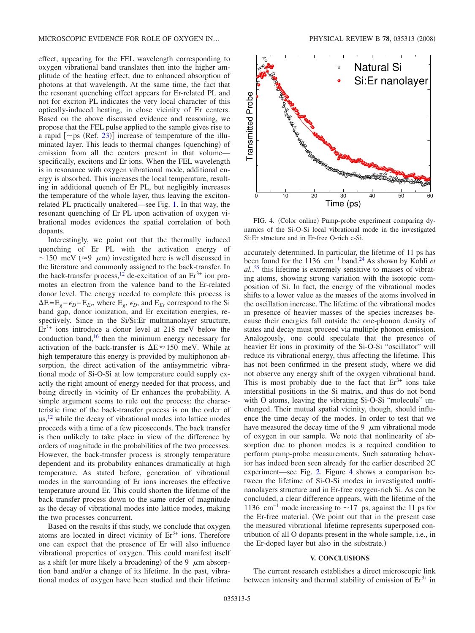effect, appearing for the FEL wavelength corresponding to oxygen vibrational band translates then into the higher amplitude of the heating effect, due to enhanced absorption of photons at that wavelength. At the same time, the fact that the resonant quenching effect appears for Er-related PL and not for exciton PL indicates the very local character of this optically-induced heating, in close vicinity of Er centers. Based on the above discussed evidence and reasoning, we propose that the FEL pulse applied to the sample gives rise to a rapid  $[\sim$  ps (Ref. [23](#page-5-18))] increase of temperature of the illuminated layer. This leads to thermal changes (quenching) of emission from all the centers present in that volume specifically, excitons and Er ions. When the FEL wavelength is in resonance with oxygen vibrational mode, additional energy is absorbed. This increases the local temperature, resulting in additional quench of Er PL, but negligibly increases the temperature of the whole layer, thus leaving the excitonrelated PL practically unaltered—see Fig. [1.](#page-1-0) In that way, the resonant quenching of Er PL upon activation of oxygen vibrational modes evidences the spatial correlation of both dopants.

Interestingly, we point out that the thermally induced quenching of Er PL with the activation energy of ~150 meV ( $\approx$ 9  $\mu$ m) investigated here is well discussed in the literature and commonly assigned to the back-transfer. In the back-transfer process,<sup>12</sup> de-excitation of an  $Er^{3+}$  ion promotes an electron from the valence band to the Er-related donor level. The energy needed to complete this process is  $\Delta E = E_g - \epsilon_D - E_{Er}$ , where  $E_g$ ,  $\epsilon_D$ , and  $E_{Er}$  correspond to the Si band gap, donor ionization, and Er excitation energies, respectively. Since in the Si/Si:Er multinanolayer structure,  $Er<sup>3+</sup>$  ions introduce a donor level at 218 meV below the conduction band, $16$  then the minimum energy necessary for activation of the back-transfer is  $\Delta E \approx 150$  meV. While at high temperature this energy is provided by multiphonon absorption, the direct activation of the antisymmetric vibrational mode of Si-O-Si at low temperature could supply exactly the right amount of energy needed for that process, and being directly in vicinity of Er enhances the probability. A simple argument seems to rule out the process: the characteristic time of the back-transfer process is on the order of  $\mu$ s,<sup>[12](#page-5-6)</sup> while the decay of vibrational modes into lattice modes proceeds with a time of a few picoseconds. The back transfer is then unlikely to take place in view of the difference by orders of magnitude in the probabilities of the two processes. However, the back-transfer process is strongly temperature dependent and its probability enhances dramatically at high temperature. As stated before, generation of vibrational modes in the surrounding of Er ions increases the effective temperature around Er. This could shorten the lifetime of the back transfer process down to the same order of magnitude as the decay of vibrational modes into lattice modes, making the two processes concurrent.

Based on the results if this study, we conclude that oxygen atoms are located in direct vicinity of  $Er<sup>3+</sup>$  ions. Therefore one can expect that the presence of Er will also influence vibrational properties of oxygen. This could manifest itself as a shift (or more likely a broadening) of the 9  $\mu$ m absorption band and/or a change of its lifetime. In the past, vibrational modes of oxygen have been studied and their lifetime

<span id="page-4-0"></span>

FIG. 4. (Color online) Pump-probe experiment comparing dynamics of the Si-O-Si local vibrational mode in the investigated Si:Er structure and in Er-free O-rich c-Si.

accurately determined. In particular, the lifetime of 11 ps has been found for the 1136 cm−1 band[.24](#page-5-19) As shown by Kohli *et al.*, [25](#page-5-20) this lifetime is extremely sensitive to masses of vibrating atoms, showing strong variation with the isotopic composition of Si. In fact, the energy of the vibrational modes shifts to a lower value as the masses of the atoms involved in the oscillation increase. The lifetime of the vibrational modes in presence of heavier masses of the species increases because their energies fall outside the one-phonon density of states and decay must proceed via multiple phonon emission. Analogously, one could speculate that the presence of heavier Er ions in proximity of the Si-O-Si "oscillator" will reduce its vibrational energy, thus affecting the lifetime. This has not been confirmed in the present study, where we did not observe any energy shift of the oxygen vibrational band. This is most probably due to the fact that  $Er<sup>3+</sup>$  ions take interstitial positions in the Si matrix, and thus do not bond with O atoms, leaving the vibrating Si-O-Si "molecule" unchanged. Their mutual spatial vicinity, though, should influence the time decay of the modes. In order to test that we have measured the decay time of the 9  $\mu$ m vibrational mode of oxygen in our sample. We note that nonlinearity of absorption due to phonon modes is a required condition to perform pump-probe measurements. Such saturating behavior has indeed been seen already for the earlier described 2C experiment—see Fig. [2.](#page-2-0) Figure [4](#page-4-0) shows a comparison between the lifetime of Si-O-Si modes in investigated multinanolayers structure and in Er-free oxygen-rich Si. As can be concluded, a clear difference appears, with the lifetime of the 1136 cm<sup>-1</sup> mode increasing to  $\sim$  17 ps, against the 11 ps for the Er-free material. We point out that in the present case the measured vibrational lifetime represents superposed contribution of all O dopants present in the whole sample, i.e., in the Er-doped layer but also in the substrate.)

### **V. CONCLUSIONS**

The current research establishes a direct microscopic link between intensity and thermal stability of emission of  $Er<sup>3+</sup>$  in